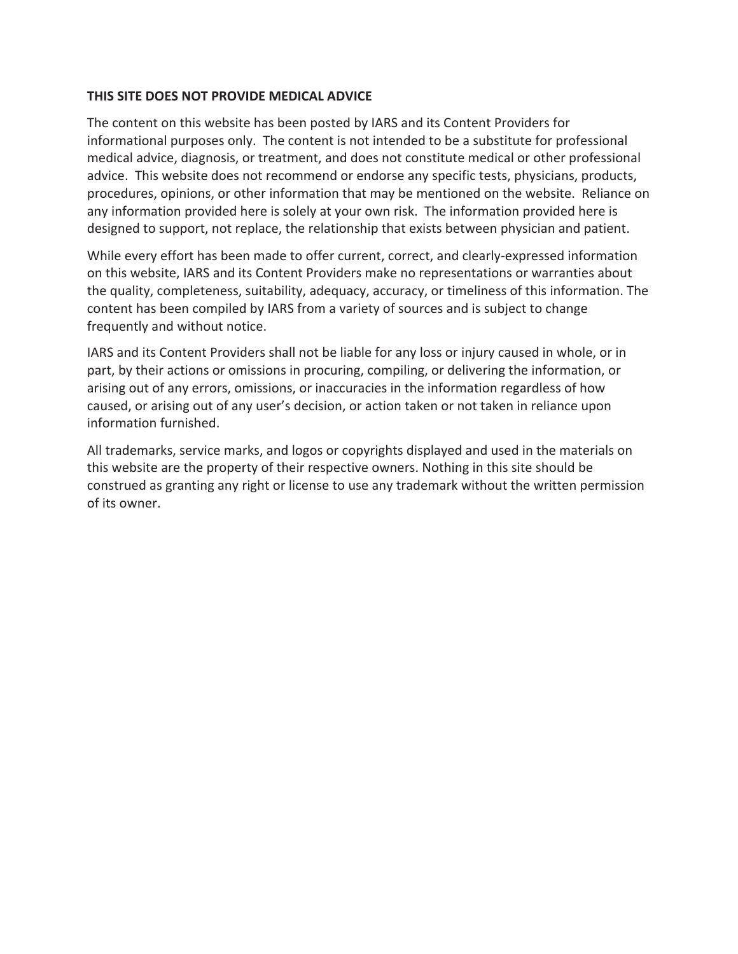#### **THIS SITE DOES NOT PROVIDE MEDICAL ADVICE**

The content on this website has been posted by IARS and its Content Providers for informational purposes only. The content is not intended to be a substitute for professional medical advice, diagnosis, or treatment, and does not constitute medical or other professional advice. This website does not recommend or endorse any specific tests, physicians, products, procedures, opinions, or other information that may be mentioned on the website. Reliance on any information provided here is solely at your own risk. The information provided here is designed to support, not replace, the relationship that exists between physician and patient.

While every effort has been made to offer current, correct, and clearly-expressed information on this website, IARS and its Content Providers make no representations or warranties about the quality, completeness, suitability, adequacy, accuracy, or timeliness of this information. The content has been compiled by IARS from a variety of sources and is subject to change frequently and without notice.

IARS and its Content Providers shall not be liable for any loss or injury caused in whole, or in part, by their actions or omissions in procuring, compiling, or delivering the information, or arising out of any errors, omissions, or inaccuracies in the information regardless of how caused, or arising out of any user's decision, or action taken or not taken in reliance upon information furnished.

All trademarks, service marks, and logos or copyrights displayed and used in the materials on this website are the property of their respective owners. Nothing in this site should be construed as granting any right or license to use any trademark without the written permission of its owner.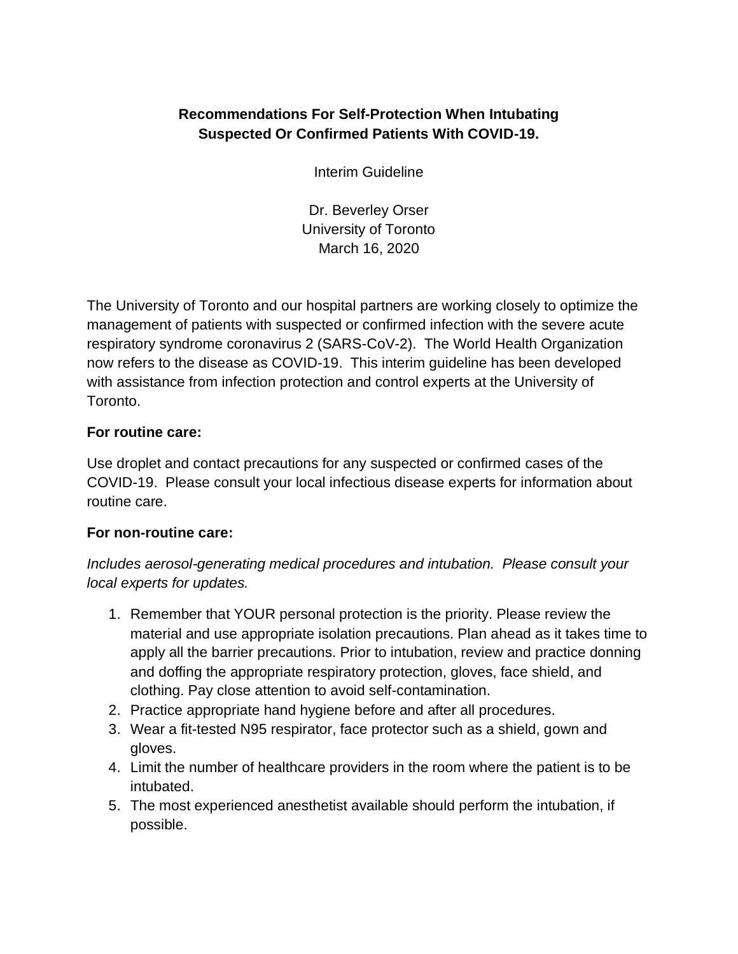# **Recommendations For Self-Protection When Intubating Suspected Or Confirmed Patients With COVID-19.**

Interim Guideline

Dr. Beverley Orser University of Toronto March 16, 2020

The University of Toronto and our hospital partners are working closely to optimize the management of patients with suspected or confirmed infection with the severe acute respiratory syndrome coronavirus 2 (SARS-CoV-2). The World Health Organization now refers to the disease as COVID-19. This interim guideline has been developed with assistance from infection protection and control experts at the University of Toronto.

## **For routine care:**

Use droplet and contact precautions for any suspected or confirmed cases of the COVID-19. Please consult your local infectious disease experts for information about routine care.

### **For non-routine care:**

*Includes aerosol-generating medical procedures and intubation. Please consult your local experts for updates.*

- 1. Remember that YOUR personal protection is the priority. Please review the material and use appropriate isolation precautions. Plan ahead as it takes time to apply all the barrier precautions. Prior to intubation, review and practice donning and doffing the appropriate respiratory protection, gloves, face shield, and clothing. Pay close attention to avoid self-contamination.
- 2. Practice appropriate hand hygiene before and after all procedures.
- 3. Wear a fit-tested N95 respirator, face protector such as a shield, gown and gloves.
- 4. Limit the number of healthcare providers in the room where the patient is to be intubated.
- 5. The most experienced anesthetist available should perform the intubation, if possible.